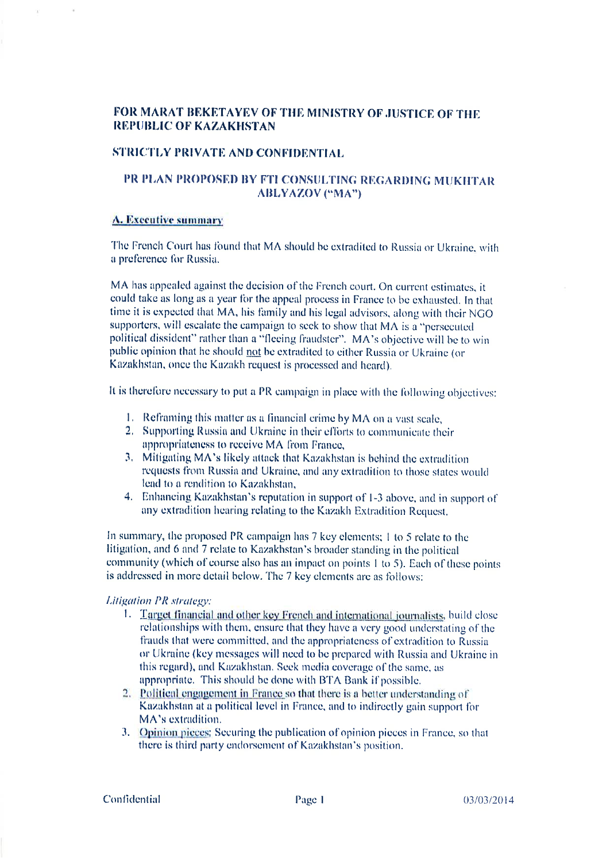# FOR MARAT BEKETAYEV OF THE MINISTRY OF JUSTICE OF THE **REPUBLIC OF KAZAKHSTAN**

## **STRICTLY PRIVATE AND CONFIDENTIAL**

# PR PLAN PROPOSED BY FTI CONSULTING REGARDING MUKHTAR **ABLYAZOV ("MA")**

## A. Executive summary

The French Court has found that MA should be extradited to Russia or Ukraine, with a preference for Russia.

MA has appealed against the decision of the French court. On current estimates, it could take as long as a year for the appeal process in France to be exhausted. In that time it is expected that MA, his family and his legal advisors, along with their NGO supporters, will escalate the campaign to seek to show that MA is a "persecuted political dissident" rather than a "fleeing fraudster". MA's objective will be to win public opinion that he should not be extradited to either Russia or Ukraine (or Kazakhstan, once the Kazakh request is processed and heard).

It is therefore necessary to put a PR campaign in place with the following objectives:

- 1. Reframing this matter as a financial crime by MA on a vast scale,
- 2. Supporting Russia and Ukraine in their efforts to communicate their appropriateness to receive MA from France,
- 3. Mitigating MA's likely attack that Kazakhstan is behind the extradition requests from Russia and Ukraine, and any extradition to those states would lead to a rendition to Kazakhstan,
- 4. Enhancing Kazakhstan's reputation in support of 1-3 above, and in support of any extradition hearing relating to the Kazakh Extradition Request.

In summary, the proposed PR campaign has 7 key elements: 1 to 5 relate to the litigation, and 6 and 7 relate to Kazakhstan's broader standing in the political community (which of course also has an impact on points 1 to 5). Each of these points is addressed in more detail below. The 7 key elements are as follows:

## **Litigation PR** strategy:

- 1. Target financial and other key French and international journalists, build close relationships with them, ensure that they have a very good understating of the frauds that were committed, and the appropriateness of extradition to Russia or Ukraine (key messages will need to be prepared with Russia and Ukraine in this regard), and Kazakhstan. Seek media coverage of the same, as appropriate. This should be done with BTA Bank if possible.
- 2. Political engagement in France so that there is a better understanding of Kazakhstan at a political level in France, and to indirectly gain support for MA's extradition.
- 3. Opinion pieces: Securing the publication of opinion pieces in France, so that there is third party endorsement of Kazakhstan's position.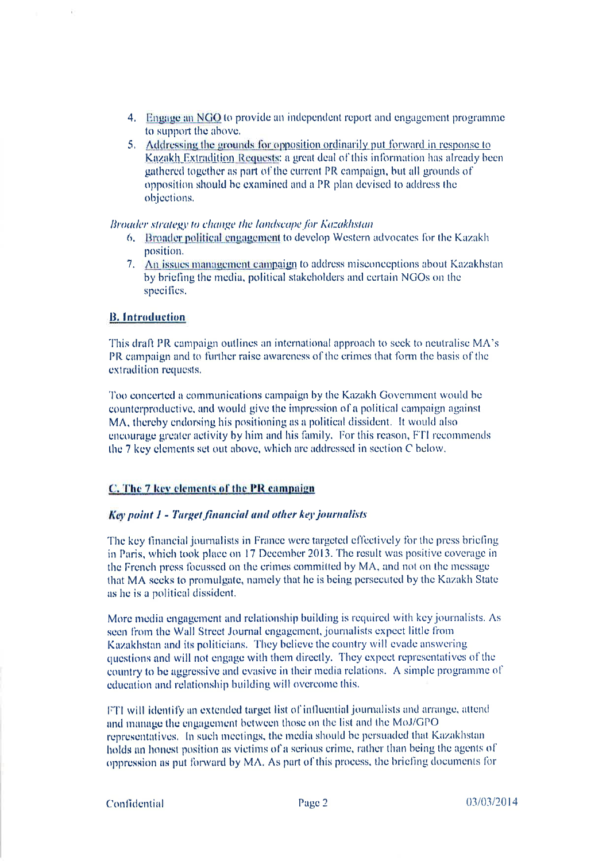- 4. Engage an NGO to provide an independent report and engagement programme to support the above.
- 5. Addressing the grounds for opposition ordinarily put forward in response to Kazakh Extradition Requests: a great deal of this information has already been gathered together as part of the current PR campaign, but all grounds of opposition should be examined and a PR plan devised to address the objections.

Broader strategy to change the landscape for Kazakhstan

- 6. Broader political engagement to develop Western advocates for the Kazakh position.
- 7. An issues management campaign to address misconceptions about Kazakhstan by briefing the media, political stakeholders and certain NGOs on the specifics.

# **B.** Introduction

This draft PR campaign outlines an international approach to seek to neutralise MA's PR campaign and to further raise awareness of the crimes that form the basis of the extradition requests.

Too concerted a communications campaign by the Kazakh Government would be counterproductive, and would give the impression of a political campaign against MA, thereby endorsing his positioning as a political dissident. It would also encourage greater activity by him and his family. For this reason, FTI recommends the 7 key elements set out above, which are addressed in section C below.

# C. The 7 key elements of the PR campaign

### **Key point 1 - Target financial and other key journalists**

The key financial journalists in France were targeted effectively for the press briefing in Paris, which took place on 17 December 2013. The result was positive coverage in the French press focussed on the crimes committed by MA, and not on the message that MA seeks to promulgate, namely that he is being persecuted by the Kazakh State as he is a political dissident.

More media engagement and relationship building is required with key journalists. As seen from the Wall Street Journal engagement, journalists expect little from Kazakhstan and its politicians. They believe the country will evade answering questions and will not engage with them directly. They expect representatives of the country to be aggressive and evasive in their media relations. A simple programme of education and relationship building will overcome this.

FTI will identify an extended target list of influential journalists and arrange, attend and manage the engagement between those on the list and the MoJ/GPO representatives. In such meetings, the media should be persuaded that Kazakhstan holds an honest position as victims of a serious crime, rather than being the agents of oppression as put forward by MA. As part of this process, the briefing documents for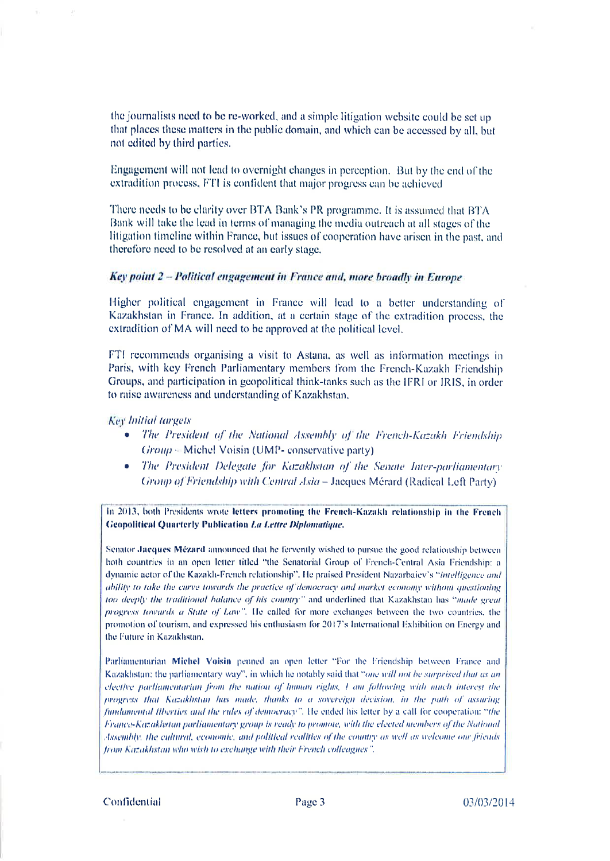the journalists need to be re-worked, and a simple litigation website could be set up that places these matters in the public domain, and which can be accessed by all, but not edited by third parties.

Engagement will not lead to overnight changes in perception. But by the end of the extradition process, FTI is confident that major progress can be achieved

There needs to be clarity over BTA Bank's PR programme. It is assumed that BTA Bank will take the lead in terms of managing the media outreach at all stages of the litigation timeline within France, but issues of cooperation have arisen in the past, and therefore need to be resolved at an early stage.

### Key point 2 - Political engagement in France and, more broadly in Europe

Higher political engagement in France will lead to a better understanding of Kazakhstan in France. In addition, at a certain stage of the extradition process, the extradition of MA will need to be approved at the political level.

FTI recommends organising a visit to Astana, as well as information meetings in Paris, with key French Parliamentary members from the French-Kazakh Friendship Groups, and participation in geopolitical think-tanks such as the IFRI or IRIS, in order to raise awareness and understanding of Kazakhstan,

### **Key Initial targets**

- The President of the National Assembly of the French-Kazakh Friendship  $Group = Michel Voisin (UMP- conservative party)$
- The President Delegate for Kazakhstan of the Senate Inter-parliamentary Group of Friendship with Central Asia - Jacques Mérard (Radical Left Party)

In 2013, both Presidents wrote letters promoting the French-Kazakh relationship in the French **Geopolitical Quarterly Publication La Lettre Diplomatique.** 

Senator Jacques Mézard announced that he fervently wished to pursue the good relationship between both countries in an open letter titled "the Senatorial Group of French-Central Asia Friendship: a dynamic actor of the Kazakh-French relationship". He praised President Nazarbaiev's "intelligence and ability to take the curve towards the practice of democracy and market economy without questioning too deeply the traditional balance of his country" and underlined that Kazakhstan has "made great progress towards a State of Law". He called for more exchanges between the two countries, the promotion of tourism, and expressed his enthusiasm for 2017's International Exhibition on Energy and the Future in Kazakhstan,

Parliamentarian Michel Voisin penned an open letter "For the Friendship between France and Kazakhstan; the parliamentary way", in which he notably said that "one will not be surprised that as an elective parliamentarian from the nation of human rights, I am following with nuch interest the progress that Kazakhstan has made, thanks to a sovereign decision, in the path of assuring fundamental Ilberties and the rules of democracy". He ended his letter by a call for cooperation: "the France-Kazakhstan parliamentary group is ready to promote, with the elected members of the National Assembly, the cultural, economic, and political realities of the country as well as welcome our friends from Kazakhstan who wish to exchange with their French colleagues".

Confidential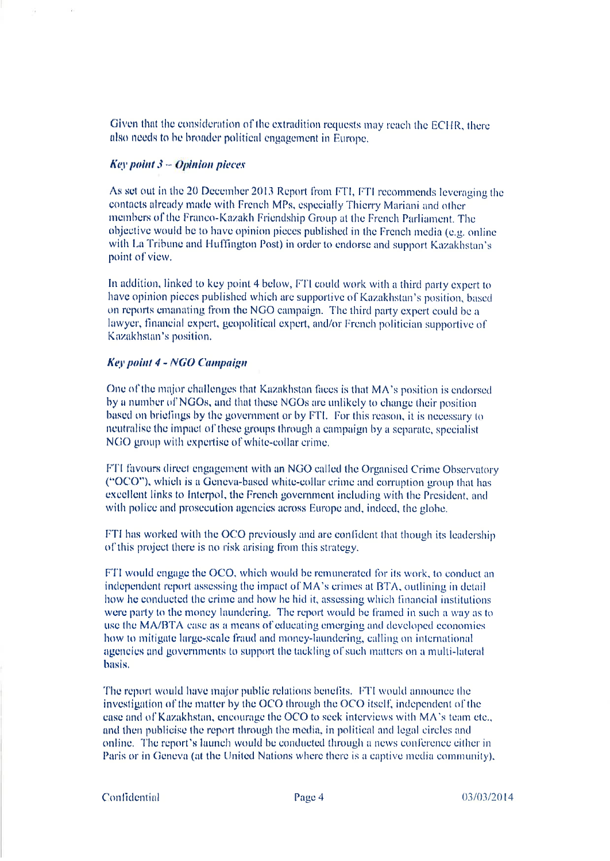Given that the consideration of the extradition requests may reach the ECHR, there also needs to be broader political engagement in Europe.

## **Key point**  $3 -$  **Opinion pieces**

As set out in the 20 December 2013 Report from FTI, FTI recommends leveraging the contacts already made with French MPs, especially Thierry Mariani and other members of the Franco-Kazakh Friendship Group at the French Parliament. The objective would be to have opinion pieces published in the French media (e.g. online with La Tribune and Huffington Post) in order to endorse and support Kazakhstan's point of view.

In addition, linked to key point 4 below, FTI could work with a third party expert to have opinion pieces published which are supportive of Kazakhstan's position, based on reports emanating from the NGO campaign. The third party expert could be a lawyer, financial expert, geopolitical expert, and/or French politician supportive of Kazakhstan's position.

#### **Key point 4 - NGO Campaign**

One of the major challenges that Kazakhstan faces is that MA's position is endorsed by a number of NGOs, and that these NGOs are unlikely to change their position based on briefings by the government or by FTI. For this reason, it is necessary to neutralise the impact of these groups through a campaign by a separate, specialist NGO group with expertise of white-collar crime.

FTI favours direct engagement with an NGO called the Organised Crime Observatory ("OCO"), which is a Geneva-based white-collar crime and corruption group that has excellent links to Interpol, the French government including with the President, and with police and prosecution agencies across Europe and, indeed, the globe.

FTI has worked with the OCO previously and are confident that though its leadership of this project there is no risk arising from this strategy.

FTI would engage the OCO, which would be remunerated for its work, to conduct an independent report assessing the impact of MA's crimes at BTA, outlining in detail how he conducted the crime and how he hid it, assessing which financial institutions were party to the money laundering. The report would be framed in such a way as to use the MA/BTA case as a means of educating emerging and developed economies how to mitigate large-scale fraud and money-laundering, calling on international agencies and governments to support the tackling of such matters on a multi-lateral basis.

The report would have major public relations benefits. FTI would announce the investigation of the matter by the OCO through the OCO itself, independent of the case and of Kazakhstan, encourage the OCO to seek interviews with MA's team etc., and then publicise the report through the media, in political and legal circles and online. The report's launch would be conducted through a news conference either in Paris or in Geneva (at the United Nations where there is a captive media community),

Confidential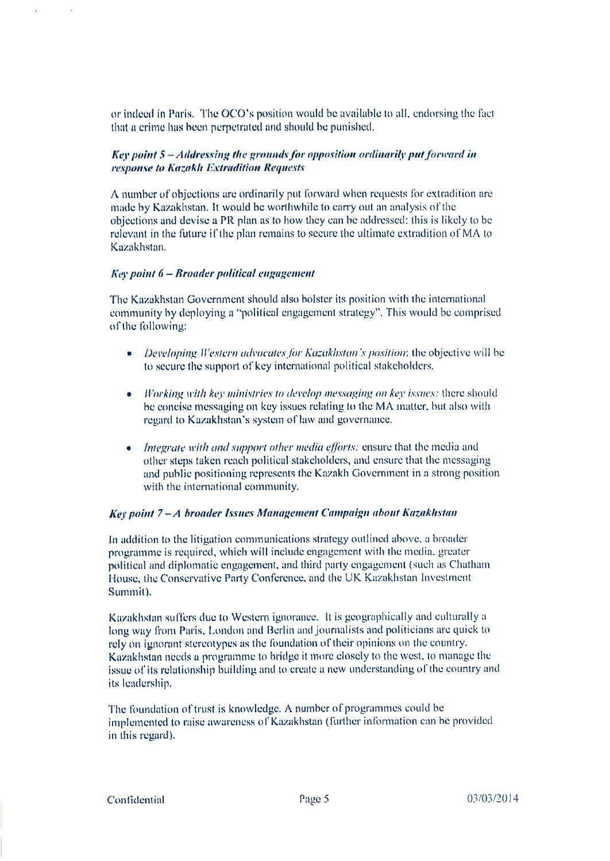or indeed in Paris. The OCO's position would be available to all, endorsing the fact that a crime has been perpetrated and should be punished.

# Key point 5 - Addressing the grounds for opposition ordinarily put forward in response to Kazakh Extradition Requests

A number of objections are ordinarily put forward when requests for extradition are made by Kazakhstan. It would be worthwhile to carry out an analysis of the objections and devise a PR plan as to how they can be addressed; this is likely to be relevant in the future if the plan remains to secure the ultimate extradition of MA to Kazakhstan.

### Key point 6 - Broader political engagement

The Kazakhstan Government should also bolster its position with the international community by deploying a "political engagement strategy". This would be comprised of the following:

- Developing Western advocates for Kazakhstan's position; the objective will be to secure the support of key international political stakeholders.
- $\bullet$  Working with key ministries to develop messaging on key issues; there should be concise messaging on key issues relating to the MA matter, but also with regard to Kazakhstan's system of law and governance.
- $\bullet$  Integrate with and support other media efforts: ensure that the media and other steps taken reach political stakeholders, and ensure that the messaging and public positioning represents the Kazakh Government in a strong position with the international community.

## Key point 7-A broader Issues Management Campaign about Kazakhstan

In addition to the litigation communications strategy outlined above, a broader programme is required, which will include engagement with the media, greater political and diplomatic engagement, and third party engagement (such as Chatham House, the Conservative Party Conference, and the UK Kazakhstan Investment Summit).

Kazakhstan suffers due to Western ignorance. It is geographically and culturally a long way from Paris, London and Berlin and journalists and politicians are quick to rely on ignorant stereotypes as the foundation of their opinions on the country. Kazakhstan needs a programme to bridge it more closely to the west, to manage the issue of its relationship building and to create a new understanding of the country and its leadership.

The foundation of trust is knowledge. A number of programmes could be implemented to raise awareness of Kazakhstan (further information can be provided in this regard).